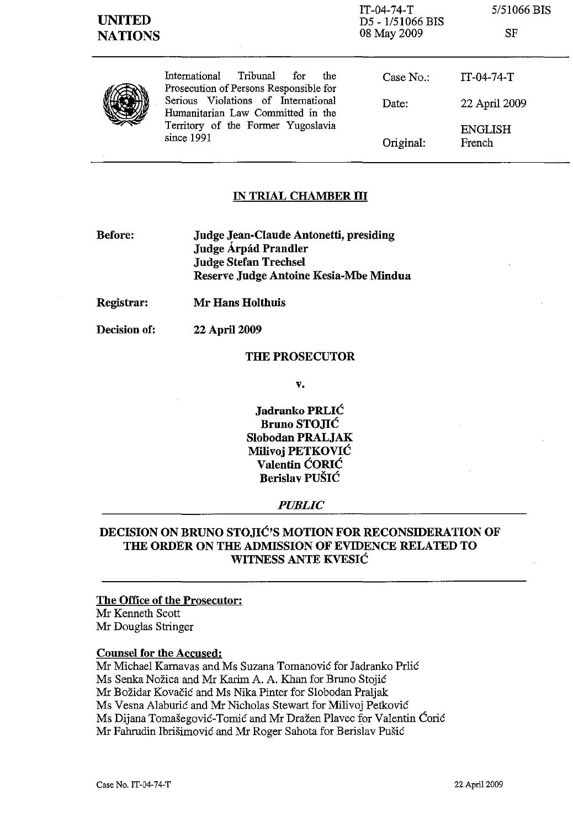| <b>UNITED</b><br><b>NATIONS</b> |                                                                                                                                                                                                                   | $IT-04-74-T$<br>D5 - 1/51066 BIS<br>08 May 2009 | 5/51066 BIS<br>SF        |
|---------------------------------|-------------------------------------------------------------------------------------------------------------------------------------------------------------------------------------------------------------------|-------------------------------------------------|--------------------------|
|                                 | Tribunal<br>International<br>the<br>for<br>Prosecution of Persons Responsible for<br>Serious Violations of International<br>Humanitarian Law Committed in the<br>Territory of the Former Yugoslavia<br>since 1991 | Case $No.$ :                                    | $IT-04-74-T$             |
|                                 |                                                                                                                                                                                                                   | Date:                                           | 22 April 2009            |
|                                 |                                                                                                                                                                                                                   | Original:                                       | <b>ENGLISH</b><br>French |

### **IN TRIAL CHAMBER III**

**Before: Judge Jean-Claude Antonetti, presiding Judge Arpad Prandler Judge Stefan Trechsel Reserve Judge Antoine Kesia-Mbe Mindua** 

**22** April 2009

**Registrar: Mr Hans Holthuis** 

**Decision of:** 

## **THE PROSECUTOR**

**v.** 

Jadranko PRLIĆ **Bruno STO, IIC Slobodan PRALJAK Milivoj PETKOVIĆ Valentin CORIC Berislav PUŠIĆ** 

### *PUBLIC*

# **DECISION ON BRUNO STone'S MOTION FOR RECONSIDERATION OF THE ORDER ON THE ADMISSION OF EVIDENCE RELATED TO WITNESS ANTE KVESIĆ**

## **The Office of the Prosecutor:**

Mr Kenneth Scott Mr Douglas Stringer

### **Counsel for the Accused:**

Mr Michael Karnavas and Ms Suzana Tomanović for Jadranko Prlić Ms Senka Nozica and Mr Karim A. A. Khan for Bruno Stojic Mr Bozidar Kovacic and Ms Nika Pinter for Slobodan Praljak Ms Vesna Alaburic and Mr Nicholas Stewart for Milivoj Petkovic Ms Dijana Tomašegović-Tomić and Mr Dražen Plavec for Valentin Ćorić Mr Fahrudin Ibrišimović and Mr Roger Sahota for Berislav Pušić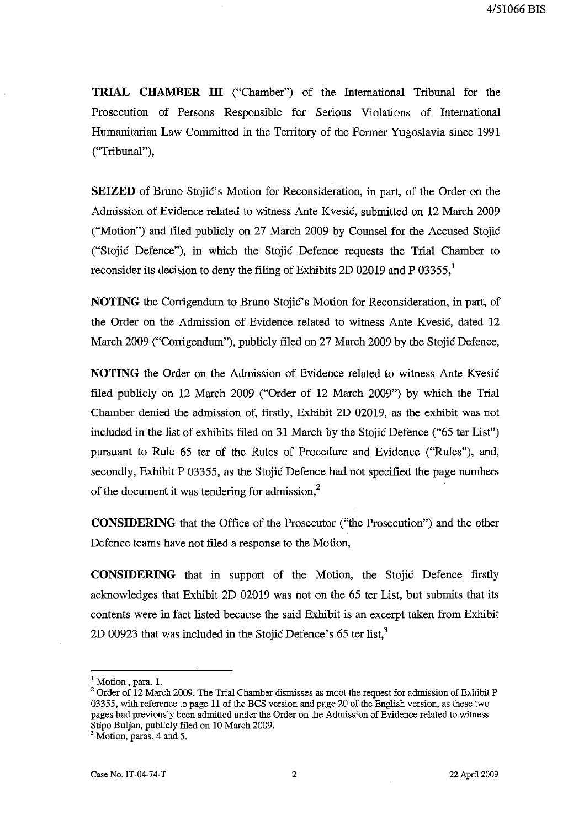**TRIAL CHAMBER ill** ("Chamber") of the International Tribunal for the Prosecution of Persons Responsible for Serious Violations of International Humanitarian Law Committed in the Territory of the Former Yugoslavia since 1991 ("Tribunal"),

**SEIZED** of Bruno Stojić's Motion for Reconsideration, in part, of the Order on the Admission of Evidence related to witness Ante Kvesic, submitted on 12 March 2009 ("Motion") and filed publicly on 27 March 2009 by Counsel for the Accused Stojic ("Stojic Defence"), in which the Stojic Defence requests the Trial Chamber to reconsider its decision to deny the filing of Exhibits 2D 02019 and P 03355, $<sup>1</sup>$ </sup>

**NOTING** the Corrigendum to Bruno Stojic's Motion for Reconsideration, in part, of the Order on the Admission of Evidence related to witness Ante Kvesic, dated 12 March 2009 ("Corrigendum"), publicly filed on 27 March 2009 by the Stojic Defence,

**NOTING** the Order on the Admission of Evidence related to witness Ante Kvesic filed publicly on 12 March 2009 ("Order of 12 March 2009") by which the Trial Chamber denied the admission of, firstly, Exhibit 2D 02019, as the exhibit was not included in the list of exhibits filed on 31 March by the Stojic Defence ("65 ter List") pursuant to Rule 65 ter of the Rules of Procedure and Evidence ("Rules"), and, secondly, Exhibit P 03355, as the Stojic Defence had not specified the page numbers of the document it was tendering for admission,<sup>2</sup>

**CONSIDERING** that the Office of the Prosecutor ("the Prosecution") and the other Defence teams have not filed a response to the Motion,

**CONSIDERING** that in support of the Motion, the Stojic Defence firstly acknowledges that Exhibit 2D 02019 was not on the 65 ter List, but submits that its contents were in fact listed because the said Exhibit is an excerpt taken from Exhibit 2D 00923 that was included in the Stojic Defence's  $65$  ter list,<sup>3</sup>

<sup>&</sup>lt;sup>1</sup> Motion, para. 1.

<sup>&</sup>lt;sup>2</sup> Order of 12 March 2009. The Trial Chamber dismisses as moot the request for admission of Exhibit P 03355, with reference to page 11 of the BCS version and page 20 of the English version, as these two pages had previously been admitted under the Order on the Admission of Evidence related to witness Stipo Buljan, publicly filed on 10 March 2009.

 $3$  Motion, paras. 4 and 5.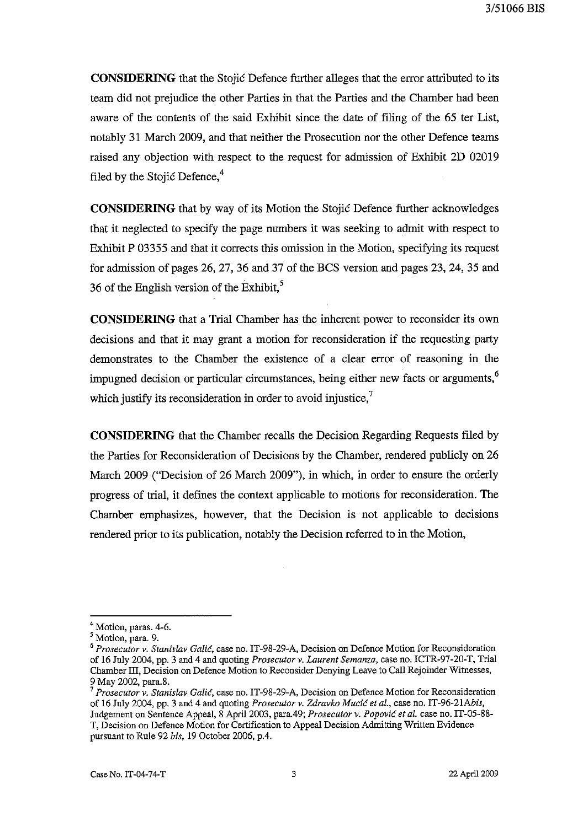**CONSIDERING** that the Stojic Defence further alleges that the error attributed to its team did not prejudice the other Parties in that the Parties and the Chamber had been aware of the contents of the said Exhibit since the date of filing of the 65 ter List, notably 31 March 2009, and that neither the Prosecution nor the other Defence teams raised any objection with respect to the request for admission of Exhibit 2D 02019 filed by the Stojic Defence, $4$ 

**CONSIDERING** that by way of its Motion the Stojic Defence further acknowledges that it neglected to specify the page numbers it was seeking to admit with respect to Exhibit P 03355 and that it corrects this omission in the Motion, specifying its request for admission of pages 26, 27, 36 and 37 of the BCS version and pages 23, 24, 35 and 36 of the English version of the Exhibit, $5$ 

**CONSIDERING** that a Trial Chamber has the inherent power to reconsider its own decisions and that it may grant a motion for reconsideration if the requesting party demonstrates to the Chamber the existence of a clear error of reasoning in the impugned decision or particular circumstances, being either new facts or arguments,<sup>6</sup> which justify its reconsideration in order to avoid injustice, $<sup>7</sup>$ </sup>

**CONSIDERING** that the Chamber recalls the Decision Regarding Requests filed by the Parties for Reconsideration of Decisions by the Chamber, rendered publicly on 26 March 2009 ("Decision of 26 March 2009"), in which, in order to ensure the orderly progress of trial, it defines the context applicable to motions for reconsideration. The Chamber emphasizes, however, that the Decision is not applicable to decisions rendered prior to its publication, notably the Decision referred to in the Motion,

<sup>&</sup>lt;sup>4</sup> Motion, paras. 4-6.

<sup>5</sup> Motion, para. 9.

<sup>&</sup>lt;sup>6</sup> Prosecutor v. Stanislav Galić, case no. IT-98-29-A, Decision on Defence Motion for Reconsideration of 16 July 2004, pp. 3 and 4 and quoting *Prosecutor v. Laurent Semanza,* case no. ICTR-97-20-T, Trial Chamber III, Decision on Defence Motion to Reconsider Denying Leave to Call Rejoinder Witnesses, 9 May 2002, para.8.

<sup>7</sup>*Prosecutor v. Stanislav Galic,* case no. IT-98-29-A, Decision on Defence Motion for Reconsideration of 16 July 2004, pp. 3 and 4 and quoting *Prosecutor v. Zdravko Mucic et al.,* case no. IT-96-21Abis, Judgement on Sentence Appeal, 8 April 2003, para.49; *Prosecutor v. Popovic et al.* case no. IT-05-88- T, Decision on Defence Motion for Certification to Appeal Decisiou Admitting Written Evidence pursuant to Rule 92 *bis,* 19 October 2006, p.4.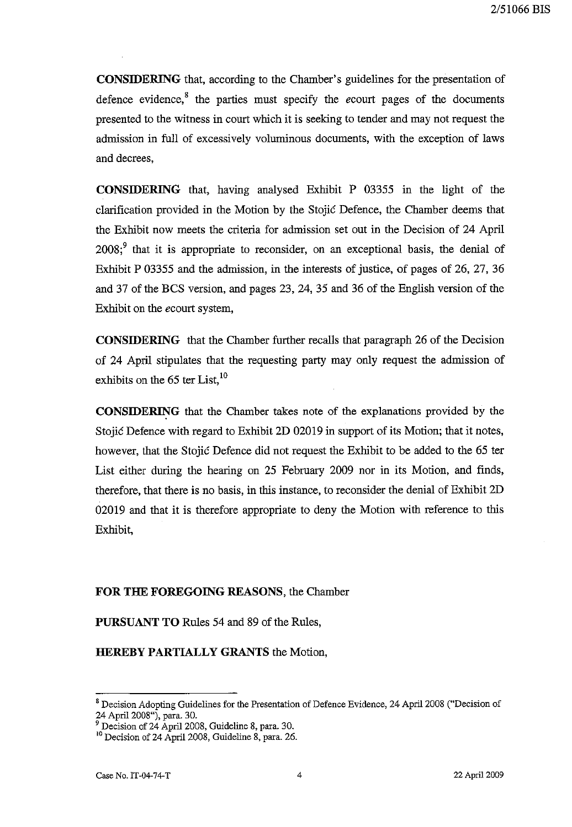**CONSIDERING** that, according to the Chamber's guidelines for the presentation of defence evidence,<sup>8</sup> the parties must specify the *ecourt* pages of the documents presented to the witness in court which it is seeking to tender and may not request the admission in full of excessively voluminous documents, with the exception of laws and decrees,

**CONSIDERING** that, having analysed Exhibit P 03355 in the light of the clarification provided in the Motion by the Stojic Defence, the Chamber deems that the Exhibit now meets the criteria for admission set out in the Decision of 24 April  $2008$ ;<sup>9</sup> that it is appropriate to reconsider, on an exceptional basis, the denial of Exhibit P 03355 and the admission, in the interests of justice, of pages of 26, 27, 36 and 37 of the BCS version, and pages 23, 24, 35 and 36 of the English version of the Exhibit on the *ecourt* system,

**CONSIDERING** that the Chamber further recalls that paragraph 26 of the Decision of 24 April stipulates that the requesting party may only request the admission of exhibits on the  $65$  ter List,  $^{10}$ 

**CONSIDERING** that the Chamber takes note of the explanations provided by the Stojic Defence with regard to Exhibit 2D 02019 in support of its Motion; that it notes, however, that the Stojic Defence did not request the Exhibit to be added to the 65 ter List either during the hearing on 25 February 2009 nor in its Motion, and finds, therefore, that there is no basis, in this instance, to reconsider the denial of Exhibit 2D 02019 and that it is therefore appropriate to deny the Motion with reference to this Exhibit,

## **FOR THE FOREGOING REASONS,** the Chamber

**PURSUANT TO** Rules 54 and 89 of the Rules,

**HEREBY PARTIALLY GRANTS** the Motion,

<sup>&</sup>lt;sup>8</sup> Decision Adopting Guidelines for the Presentation of Defence Evidence, 24 April 2008 ("Decision of 24 April 2008"), para. 30.

<sup>&</sup>lt;sup>9</sup> Decision of 24 April 2008, Guideline 8, para. 30.

<sup>&</sup>lt;sup>10</sup> Decision of 24 April 2008, Guideline 8, para. 26.